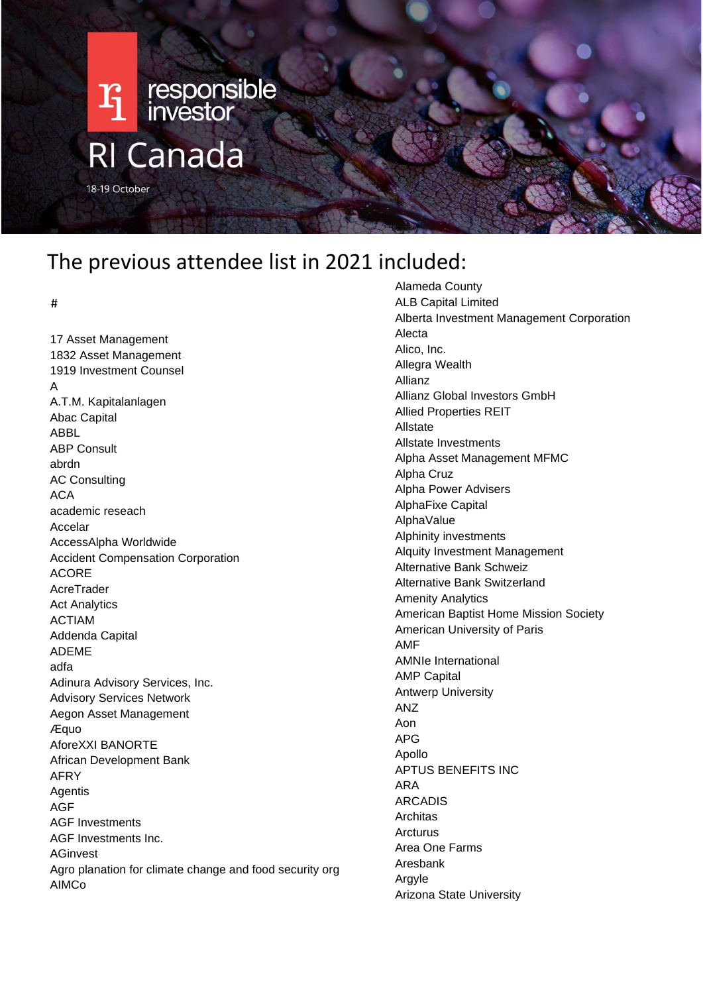

# The previous attendee list in 2021 included:

#

17 Asset Management 1832 Asset Management 1919 Investment Counsel A A.T.M. Kapitalanlagen Abac Capital ABBL ABP Consult abrdn AC Consulting  $ACA$ academic reseach Accelar AccessAlpha Worldwide Accident Compensation Corporation ACORE AcreTrader Act Analytics ACTIAM Addenda Capital ADEME adfa Adinura Advisory Services, Inc. Advisory Services Network Aegon Asset Management Æquo AforeXXI BANORTE African Development Bank AFRY Agentis AGF AGF Investments AGF Investments Inc. AGinvest Agro planation for climate change and food security org AIMCo

Alameda County ALB Capital Limited Alberta Investment Management Corporation Alecta Alico, Inc. Allegra Wealth Allianz Allianz Global Investors GmbH Allied Properties REIT Allstate Allstate Investments Alpha Asset Management MFMC Alpha Cruz Alpha Power Advisers AlphaFixe Capital AlphaValue Alphinity investments Alquity Investment Management Alternative Bank Schweiz Alternative Bank Switzerland Amenity Analytics American Baptist Home Mission Society American University of Paris AMF AMNIe International AMP Capital Antwerp University ANZ Aon APG Apollo APTUS BENEFITS INC ARA ARCADIS Architas **Arcturus** Area One Farms Aresbank Argyle Arizona State University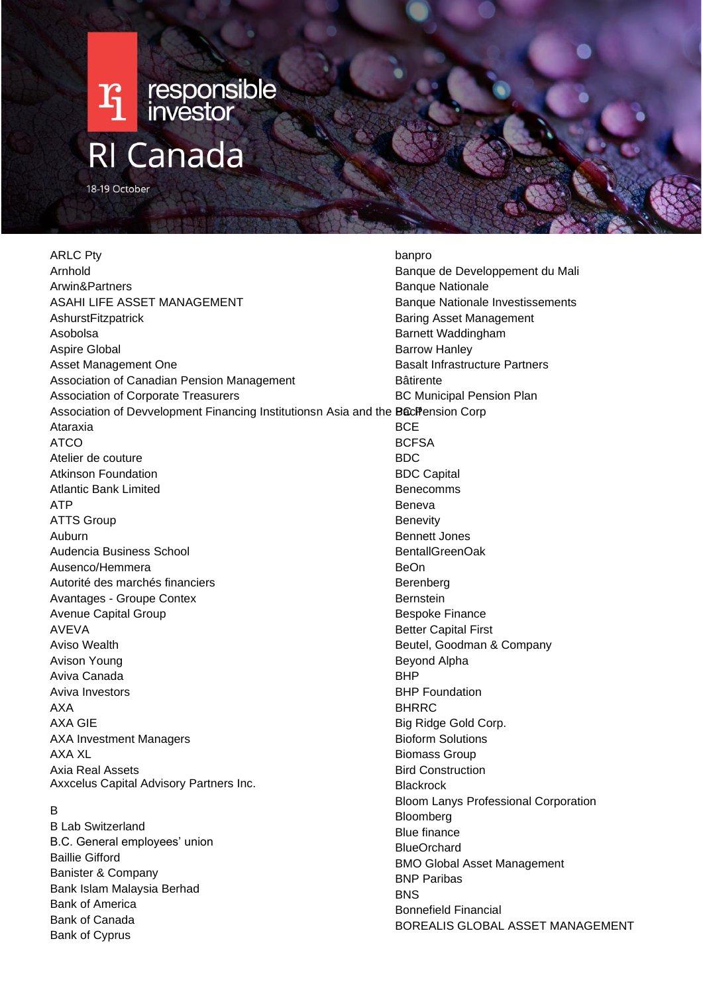

ARLC Pty Arnhold Arwin&Partners ASAHI LIFE ASSET MANAGEMENT AshurstFitzpatrick Asobolsa Aspire Global Asset Management One Association of Canadian Pension Management Association of Corporate Treasurers Association of Devvelopment Financing Institutionsn Asia and the BociPension Corp Ataraxia ATCO Atelier de couture Atkinson Foundation Atlantic Bank Limited ATP ATTS Group Auburn Audencia Business School Ausenco/Hemmera Autorité des marchés financiers Avantages - Groupe Contex Avenue Capital Group AVEVA Aviso Wealth Avison Young Aviva Canada Aviva Investors AXA AXA GIE AXA Investment Managers AXA XL Axia Real Assets Axxcelus Capital Advisory Partners Inc.

#### B

B Lab Switzerland B.C. General employees' union Baillie Gifford Banister & Company Bank Islam Malaysia Berhad Bank of America Bank of Canada Bank of Cyprus

banpro Banque de Developpement du Mali Banque Nationale Banque Nationale Investissements Baring Asset Management Barnett Waddingham Barrow Hanley Basalt Infrastructure Partners Bâtirente BC Municipal Pension Plan **BCE BCFSA** BDC BDC Capital Benecomms Beneva **Benevity** Bennett Jones BentallGreenOak BeOn Berenberg **Bernstein** Bespoke Finance Better Capital First Beutel, Goodman & Company Beyond Alpha BHP BHP Foundation **BHRRC** Big Ridge Gold Corp. Bioform Solutions Biomass Group Bird Construction **Blackrock** Bloom Lanys Professional Corporation Bloomberg Blue finance BlueOrchard BMO Global Asset Management BNP Paribas **BNS** Bonnefield Financial BOREALIS GLOBAL ASSET MANAGEMENT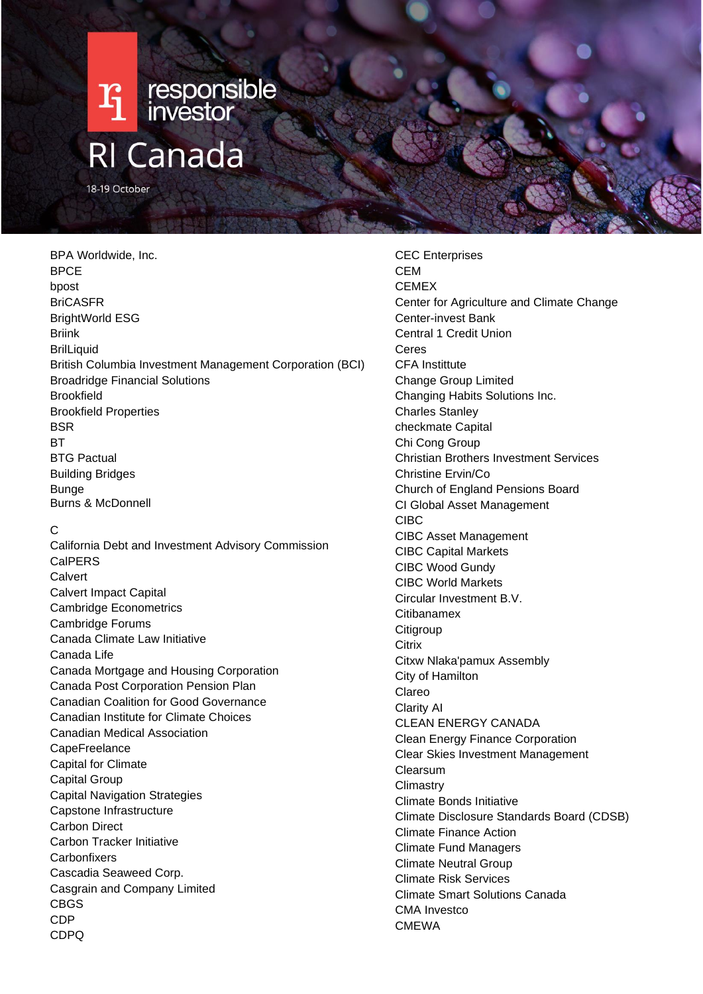

BPA Worldwide, Inc. BPCE bpost BriCASFR BrightWorld ESG Briink **BrilLiquid** British Columbia Investment Management Corporation (BCI) Broadridge Financial Solutions Brookfield Brookfield Properties **BSR RT** BTG Pactual Building Bridges Bunge Burns & McDonnell

#### C

California Debt and Investment Advisory Commission CalPERS **Calvert** Calvert Impact Capital Cambridge Econometrics Cambridge Forums Canada Climate Law Initiative Canada Life Canada Mortgage and Housing Corporation Canada Post Corporation Pension Plan Canadian Coalition for Good Governance Canadian Institute for Climate Choices Canadian Medical Association **CapeFreelance** Capital for Climate Capital Group Capital Navigation Strategies Capstone Infrastructure Carbon Direct Carbon Tracker Initiative **Carbonfixers** Cascadia Seaweed Corp. Casgrain and Company Limited CBGS CDP CDPQ

CEC Enterprises **CEM** CEMEX Center for Agriculture and Climate Change Center-invest Bank Central 1 Credit Union Ceres CFA Instittute Change Group Limited Changing Habits Solutions Inc. Charles Stanley checkmate Capital Chi Cong Group Christian Brothers Investment Services Christine Ervin/Co Church of England Pensions Board CI Global Asset Management CIBC CIBC Asset Management CIBC Capital Markets CIBC Wood Gundy CIBC World Markets Circular Investment B.V. **Citibanamex** Citigroup **Citrix** Citxw Nlaka'pamux Assembly City of Hamilton Clareo Clarity AI CLEAN ENERGY CANADA Clean Energy Finance Corporation Clear Skies Investment Management Clearsum **Climastry** Climate Bonds Initiative Climate Disclosure Standards Board (CDSB) Climate Finance Action Climate Fund Managers Climate Neutral Group Climate Risk Services Climate Smart Solutions Canada CMA Investco CMEWA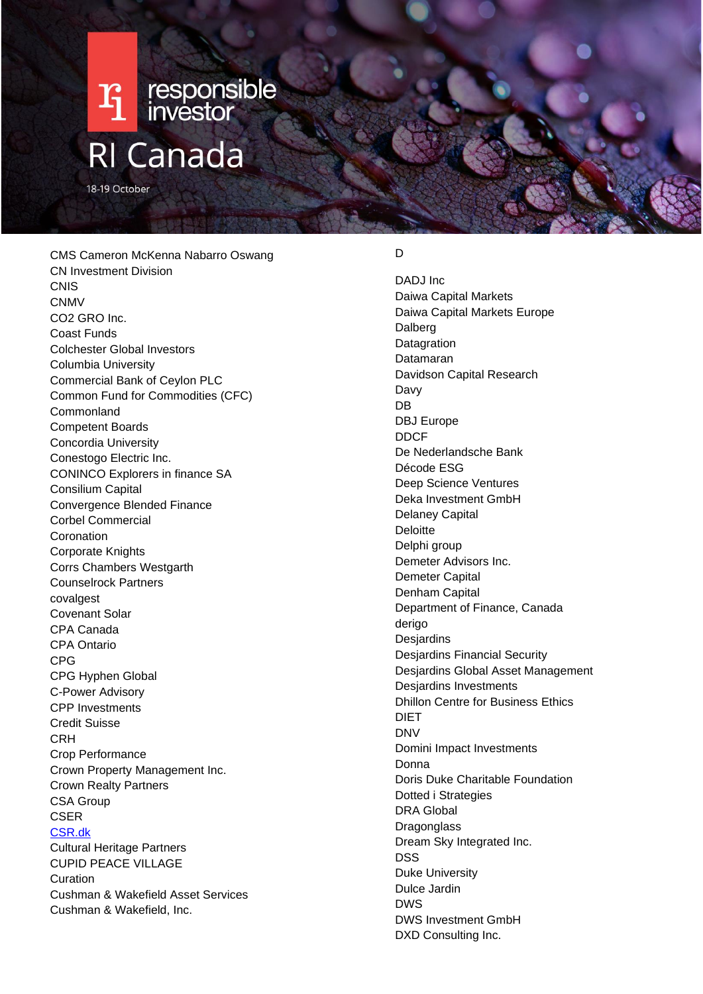

18-19 October

CMS Cameron McKenna Nabarro Oswang CN Investment Division **CNIS** CNMV CO2 GRO Inc. Coast Funds Colchester Global Investors Columbia University Commercial Bank of Ceylon PLC Common Fund for Commodities (CFC) Commonland Competent Boards Concordia University Conestogo Electric Inc. CONINCO Explorers in finance SA Consilium Capital Convergence Blended Finance Corbel Commercial Coronation Corporate Knights Corrs Chambers Westgarth Counselrock Partners covalgest Covenant Solar CPA Canada CPA Ontario CPG CPG Hyphen Global C-Power Advisory CPP Investments Credit Suisse **CRH** Crop Performance Crown Property Management Inc. Crown Realty Partners CSA Group CSER [CSR.dk](http://csr.dk/) Cultural Heritage Partners CUPID PEACE VILLAGE Curation Cushman & Wakefield Asset Services Cushman & Wakefield, Inc.

# D

DADJ Inc Daiwa Capital Markets Daiwa Capital Markets Europe Dalberg **Datagration** Datamaran Davidson Capital Research Davy DB DBJ Europe DDCF De Nederlandsche Bank Décode ESG Deep Science Ventures Deka Investment GmbH Delaney Capital **Deloitte** Delphi group Demeter Advisors Inc. Demeter Capital Denham Capital Department of Finance, Canada derigo **Desjardins** Desjardins Financial Security Desjardins Global Asset Management Desjardins Investments Dhillon Centre for Business Ethics DIET DNV Domini Impact Investments Donna Doris Duke Charitable Foundation Dotted i Strategies DRA Global **Dragonglass** Dream Sky Integrated Inc. DSS Duke University Dulce Jardin DWS DWS Investment GmbH DXD Consulting Inc.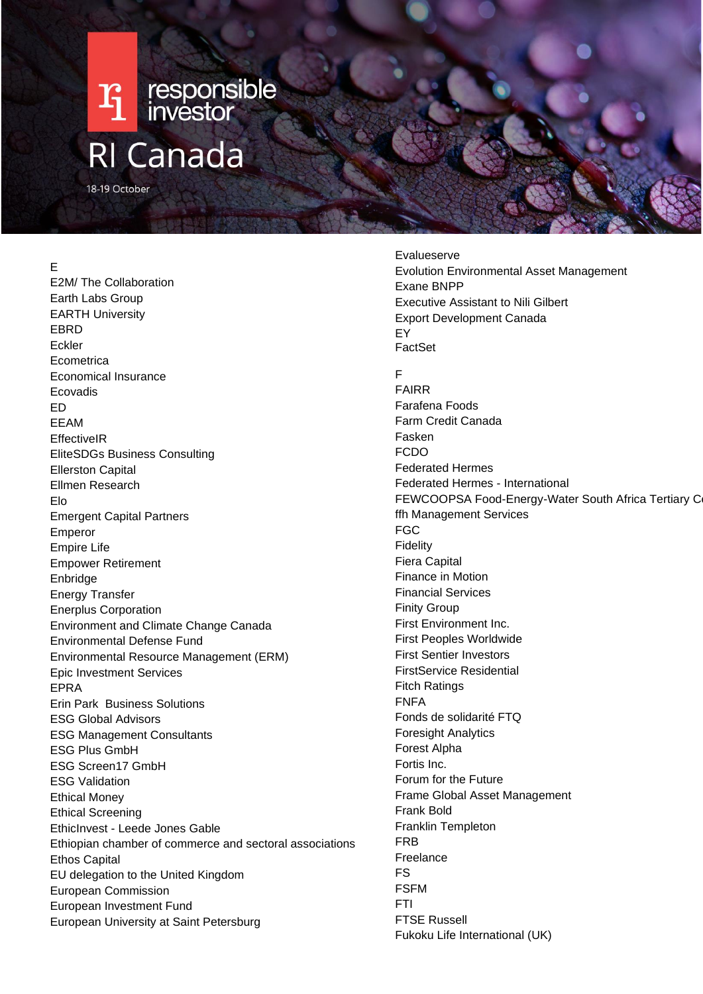# $\mathbf{F}_1$  responsible **RI Canada**

18-19 October

## E

E2M/ The Collaboration Earth Labs Group EARTH University EBRD Eckler **Ecometrica** Economical Insurance Ecovadis ED EEAM **EffectiveIR** EliteSDGs Business Consulting Ellerston Capital Ellmen Research Elo Emergent Capital Partners Emperor Empire Life Empower Retirement Enbridge Energy Transfer Enerplus Corporation Environment and Climate Change Canada Environmental Defense Fund Environmental Resource Management (ERM) Epic Investment Services EPRA Erin Park Business Solutions ESG Global Advisors ESG Management Consultants ESG Plus GmbH ESG Screen17 GmbH ESG Validation Ethical Money Ethical Screening EthicInvest - Leede Jones Gable Ethiopian chamber of commerce and sectoral associations Ethos Capital EU delegation to the United Kingdom European Commission European Investment Fund European University at Saint Petersburg

Evalueserve Evolution Environmental Asset Management Exane BNPP Executive Assistant to Nili Gilbert Export Development Canada EY FactSet F FAIRR Farafena Foods Farm Credit Canada Fasken FCDO Federated Hermes Federated Hermes - International FEWCOOPSA Food-Energy-Water South Africa Tertiary C ffh Management Services FGC Fidelity Fiera Capital Finance in Motion Financial Services Finity Group First Environment Inc. First Peoples Worldwide First Sentier Investors FirstService Residential Fitch Ratings FNFA Fonds de solidarité FTQ Foresight Analytics Forest Alpha Fortis Inc. Forum for the Future Frame Global Asset Management Frank Bold Franklin Templeton FRB Freelance FS FSFM FTI FTSE Russell Fukoku Life International (UK)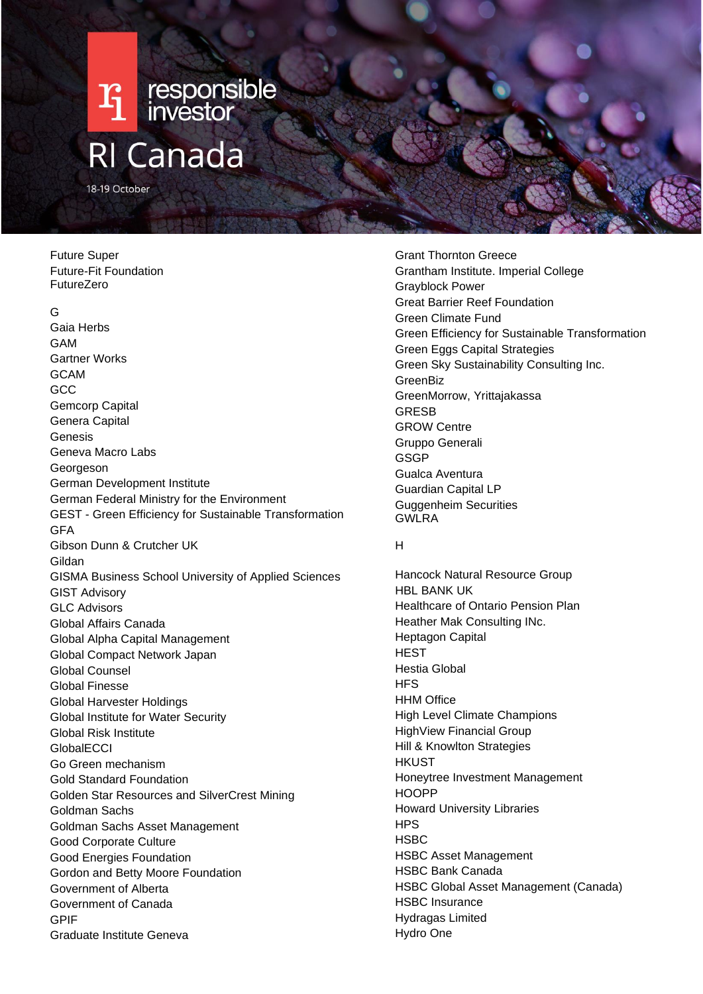

Future Super Future-Fit Foundation FutureZero

#### G

Gaia Herbs GAM Gartner Works GCAM **GCC** Gemcorp Capital Genera Capital Genesis Geneva Macro Labs Georgeson German Development Institute German Federal Ministry for the Environment GEST - Green Efficiency for Sustainable Transformation GFA Gibson Dunn & Crutcher UK Gildan GISMA Business School University of Applied Sciences GIST Advisory GLC Advisors Global Affairs Canada Global Alpha Capital Management Global Compact Network Japan Global Counsel Global Finesse Global Harvester Holdings Global Institute for Water Security Global Risk Institute **GlobalECCI** Go Green mechanism Gold Standard Foundation Golden Star Resources and SilverCrest Mining Goldman Sachs Goldman Sachs Asset Management Good Corporate Culture Good Energies Foundation Gordon and Betty Moore Foundation Government of Alberta Government of Canada GPIF Graduate Institute Geneva

Grant Thornton Greece Grantham Institute. Imperial College Grayblock Power Great Barrier Reef Foundation Green Climate Fund Green Efficiency for Sustainable Transformation Green Eggs Capital Strategies Green Sky Sustainability Consulting Inc. **GreenBiz** GreenMorrow, Yrittajakassa GRESB GROW Centre Gruppo Generali **GSGP** Gualca Aventura Guardian Capital LP Guggenheim Securities GWLRA

#### H

Hancock Natural Resource Group HBL BANK UK Healthcare of Ontario Pension Plan Heather Mak Consulting INc. Heptagon Capital **HEST** Hestia Global **HFS HHM Office** High Level Climate Champions HighView Financial Group Hill & Knowlton Strategies **HKUST** Honeytree Investment Management **HOOPP** Howard University Libraries **HPS HSBC** HSBC Asset Management HSBC Bank Canada HSBC Global Asset Management (Canada) HSBC Insurance Hydragas Limited Hydro One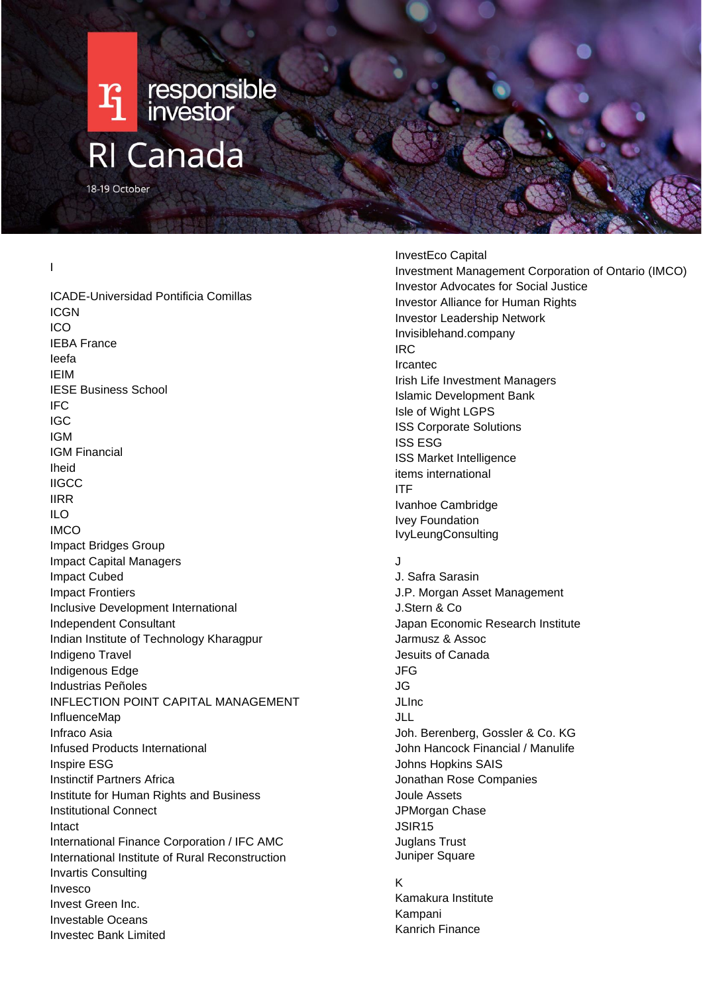

I

ICADE-Universidad Pontificia Comillas ICGN ICO IEBA France Ieefa IEIM IESE Business School IFC IGC IGM IGM Financial Iheid **IIGCC** IIRR ILO IMCO Impact Bridges Group Impact Capital Managers Impact Cubed Impact Frontiers Inclusive Development International Independent Consultant Indian Institute of Technology Kharagpur Indigeno Travel Indigenous Edge Industrias Peñoles INFLECTION POINT CAPITAL MANAGEMENT InfluenceMap Infraco Asia Infused Products International Inspire ESG Instinctif Partners Africa Institute for Human Rights and Business Institutional Connect Intact International Finance Corporation / IFC AMC International Institute of Rural Reconstruction Invartis Consulting Invesco Invest Green Inc. Investable Oceans Investec Bank Limited

InvestEco Capital Investment Management Corporation of Ontario (IMCO) Investor Advocates for Social Justice Investor Alliance for Human Rights Investor Leadership Network Invisiblehand.company IRC Ircantec Irish Life Investment Managers Islamic Development Bank Isle of Wight LGPS ISS Corporate Solutions ISS ESG ISS Market Intelligence items international ITF Ivanhoe Cambridge Ivey Foundation IvyLeungConsulting

# $\overline{\mathbf{J}}$

J. Safra Sarasin J.P. Morgan Asset Management J.Stern & Co Japan Economic Research Institute Jarmusz & Assoc Jesuits of Canada JFG JG JLInc JLL Joh. Berenberg, Gossler & Co. KG John Hancock Financial / Manulife Johns Hopkins SAIS Jonathan Rose Companies Joule Assets JPMorgan Chase JSIR15 Juglans Trust Juniper Square

#### K

Kamakura Institute Kampani Kanrich Finance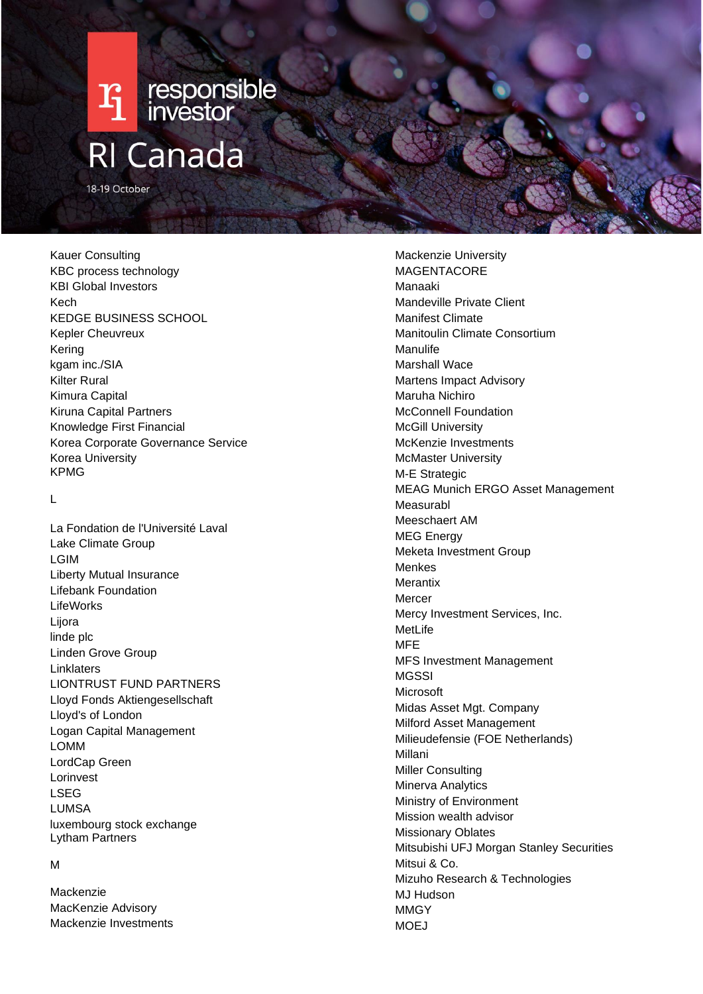

18-19 October

Kauer Consulting KBC process technology KBI Global Investors Kech KEDGE BUSINESS SCHOOL Kepler Cheuvreux Kering kgam inc./SIA Kilter Rural Kimura Capital Kiruna Capital Partners Knowledge First Financial Korea Corporate Governance Service Korea University KPMG

 $\mathbf{L}$ 

La Fondation de l'Université Laval Lake Climate Group LGIM Liberty Mutual Insurance Lifebank Foundation LifeWorks Lijora linde plc Linden Grove Group Linklaters LIONTRUST FUND PARTNERS Lloyd Fonds Aktiengesellschaft Lloyd's of London Logan Capital Management LOMM LordCap Green Lorinvest LSEG LUMSA luxembourg stock exchange Lytham Partners

#### M

Mackenzie MacKenzie Advisory Mackenzie Investments

Mackenzie University MAGENTACORE Manaaki Mandeville Private Client Manifest Climate Manitoulin Climate Consortium Manulife Marshall Wace Martens Impact Advisory Maruha Nichiro McConnell Foundation McGill University McKenzie Investments McMaster University M-E Strategic MEAG Munich ERGO Asset Management Measurabl Meeschaert AM MEG Energy Meketa Investment Group Menkes **Merantix** Mercer Mercy Investment Services, Inc. MetLife MFE MFS Investment Management **MGSSI** Microsoft Midas Asset Mgt. Company Milford Asset Management Milieudefensie (FOE Netherlands) Millani Miller Consulting Minerva Analytics Ministry of Environment Mission wealth advisor Missionary Oblates Mitsubishi UFJ Morgan Stanley Securities Mitsui & Co. Mizuho Research & Technologies MJ Hudson **MMGY** MOEJ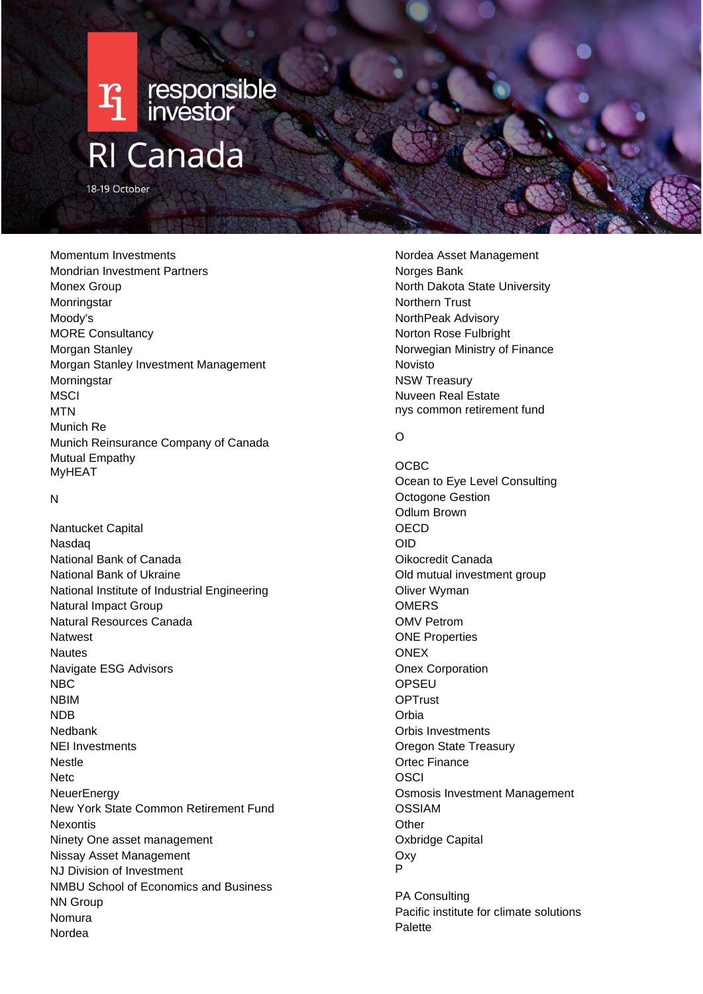

18-19 October

Momentum Investments Mondrian Investment Partners Monex Group Monringstar Moody's MORE Consultancy Morgan Stanley Morgan Stanley Investment Management **Morningstar MSCI MTN** Munich Re Munich Reinsurance Company of Canada Mutual Empathy MyHEAT

#### N

Nantucket Capital Nasdaq National Bank of Canada National Bank of Ukraine National Institute of Industrial Engineering Natural Impact Group Natural Resources Canada Natwest **Nautes** Navigate ESG Advisors NBC NBIM NDB Nedbank NEI Investments Nestle **Netc NeuerEnergy** New York State Common Retirement Fund **Nexontis** Ninety One asset management Nissay Asset Management NJ Division of Investment NMBU School of Economics and Business NN Group Nomura Nordea

Nordea Asset Management Norges Bank North Dakota State University Northern Trust NorthPeak Advisory Norton Rose Fulbright Norwegian Ministry of Finance Novisto NSW Treasury Nuveen Real Estate nys common retirement fund

# $\Omega$

OCBC Ocean to Eye Level Consulting Octogone Gestion Odlum Brown **OECD** OID Oikocredit Canada Old mutual investment group Oliver Wyman **OMERS** OMV Petrom ONE Properties **ONEX** Onex Corporation **OPSEU OPTrust** Orbia Orbis Investments Oregon State Treasury Ortec Finance **OSCI** Osmosis Investment Management OSSIAM **Other** Oxbridge Capital Oxy P

PA Consulting Pacific institute for climate solutions Palette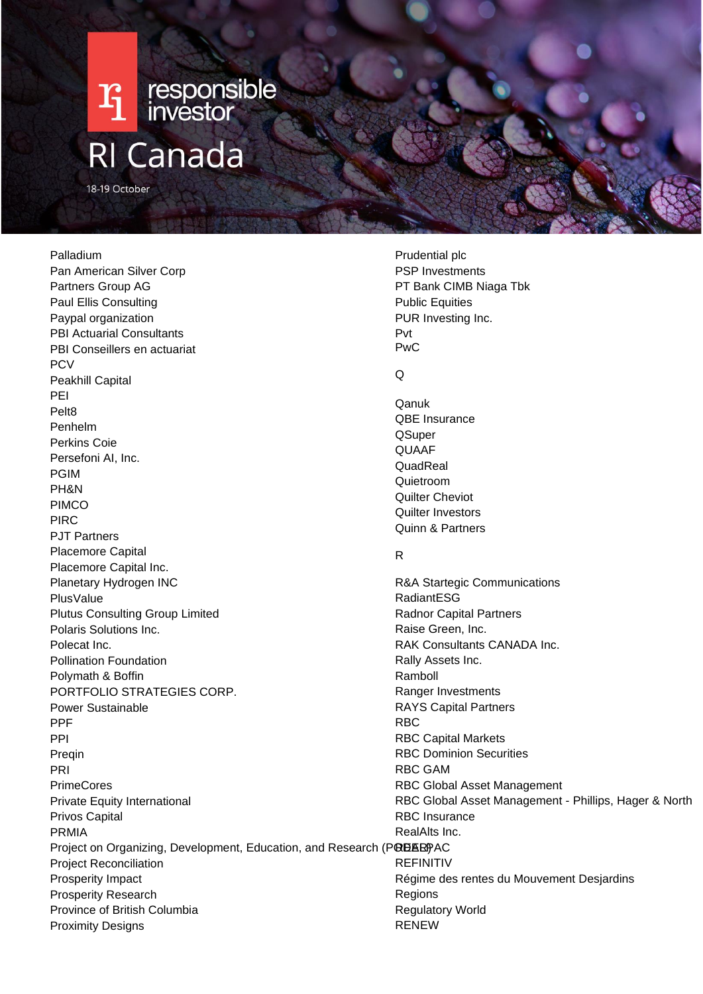# **T1** responsible **RI Canada**

18-19 October

#### Palladium

Pan American Silver Corp Partners Group AG Paul Ellis Consulting Paypal organization PBI Actuarial Consultants PBI Conseillers en actuariat **PCV** Peakhill Capital PEI Pelt8 Penhelm Perkins Coie Persefoni AI, Inc. PGIM PH&N PIMCO PIRC PJT Partners Placemore Capital Placemore Capital Inc. Planetary Hydrogen INC PlusValue Plutus Consulting Group Limited Polaris Solutions Inc. Polecat Inc. Pollination Foundation Polymath & Boffin PORTFOLIO STRATEGIES CORP. Power Sustainable PPF PPI Preqin PRI PrimeCores Private Equity International Privos Capital PRMIA Project on Organizing, Development, Education, and Research (PODER)PAC Project Reconciliation Prosperity Impact Prosperity Research Province of British Columbia Proximity Designs

Prudential plc PSP Investments PT Bank CIMB Niaga Tbk Public Equities PUR Investing Inc. Pvt PwC

#### $\Omega$

Qanuk QBE Insurance **OSuper QUAAF QuadReal** Quietroom Quilter Cheviot Quilter Investors Quinn & Partners

## R

R&A Startegic Communications RadiantESG Radnor Capital Partners Raise Green, Inc. RAK Consultants CANADA Inc. Rally Assets Inc. Ramboll Ranger Investments RAYS Capital Partners RBC RBC Capital Markets RBC Dominion Securities RBC GAM RBC Global Asset Management RBC Global Asset Management - Phillips, Hager & North RBC Insurance RealAlts Inc. REFINITIV Régime des rentes du Mouvement Desjardins Regions Regulatory World RENEW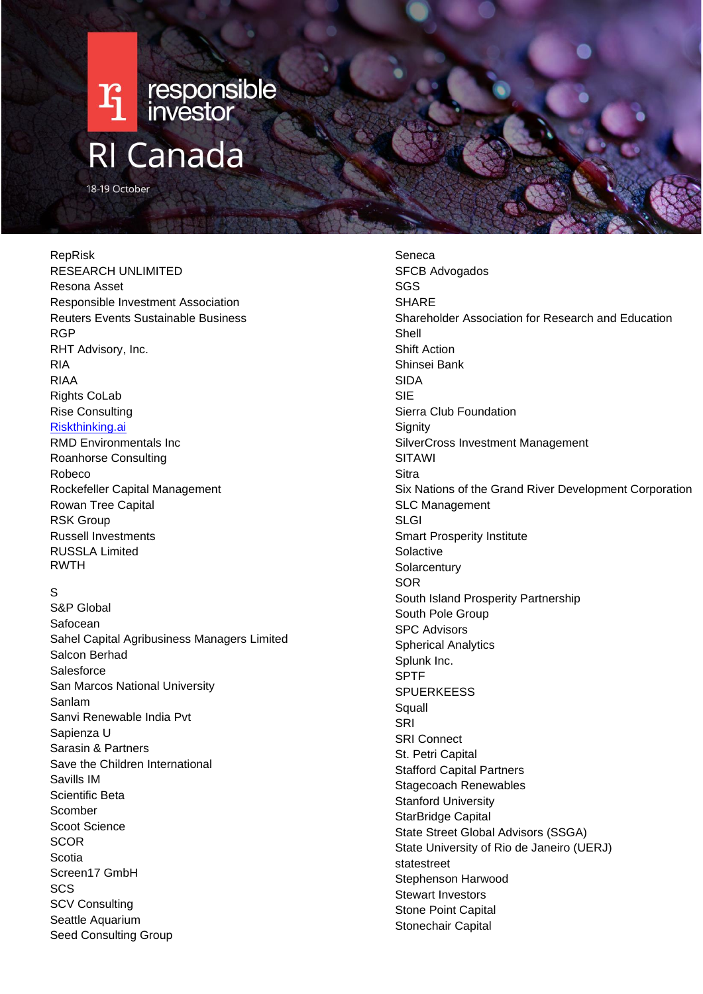

# RepRisk RESEARCH UNLIMITED Resona Asset Responsible Investment Association Reuters Events Sustainable Business RGP RHT Advisory, Inc. RIA RIAA Rights CoLab Rise Consulting [Riskthinking.ai](http://riskthinking.ai/) RMD Environmentals Inc Roanhorse Consulting Robeco Rockefeller Capital Management

Rowan Tree Capital RSK Group Russell Investments RUSSLA Limited RWTH

# S

S&P Global Safocean Sahel Capital Agribusiness Managers Limited Salcon Berhad **Salesforce** San Marcos National University Sanlam Sanvi Renewable India Pvt Sapienza U Sarasin & Partners Save the Children International Savills IM Scientific Beta Scomber Scoot Science **SCOR** Scotia Screen17 GmbH SCS SCV Consulting Seattle Aquarium Seed Consulting Group

Seneca SFCB Advogados SGS **SHARE** Shareholder Association for Research and Education Shell Shift Action Shinsei Bank SIDA SIE Sierra Club Foundation Signity SilverCross Investment Management SITAWI **Sitra** Six Nations of the Grand River Development Corporation SLC Management SLGI Smart Prosperity Institute **Solactive Solarcentury** SOR South Island Prosperity Partnership South Pole Group SPC Advisors Spherical Analytics Splunk Inc. SPTF **SPUERKEESS Squall** SRI SRI Connect St. Petri Capital Stafford Capital Partners Stagecoach Renewables Stanford University StarBridge Capital State Street Global Advisors (SSGA) State University of Rio de Janeiro (UERJ) statestreet Stephenson Harwood Stewart Investors Stone Point Capital Stonechair Capital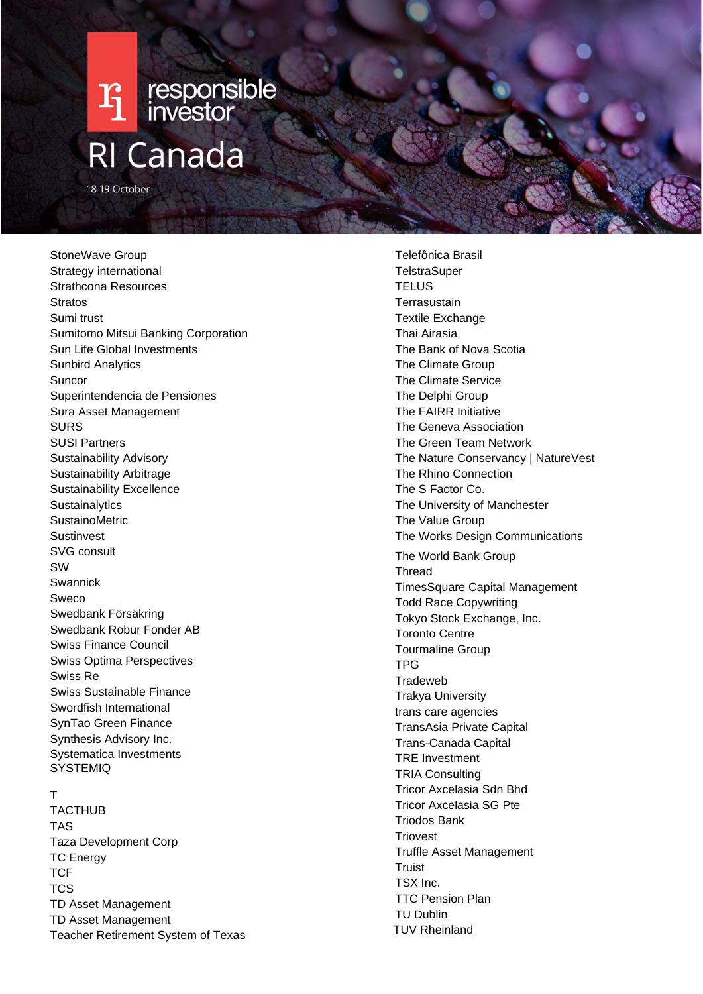

StoneWave Group Strategy international Strathcona Resources **Stratos** Sumi trust Sumitomo Mitsui Banking Corporation Sun Life Global Investments Sunbird Analytics Suncor Superintendencia de Pensiones Sura Asset Management SURS SUSI Partners Sustainability Advisory Sustainability Arbitrage Sustainability Excellence **Sustainalytics** SustainoMetric Sustinvest SVG consult SW Swannick Sweco Swedbank Försäkring Swedbank Robur Fonder AB Swiss Finance Council Swiss Optima Perspectives Swiss Re Swiss Sustainable Finance Swordfish International SynTao Green Finance Synthesis Advisory Inc. Systematica Investments **SYSTEMIQ** 

#### T

TACTHUB TAS Taza Development Corp TC Energy **TCF TCS** TD Asset Management TD Asset Management Teacher Retirement System of Texas

Telefônica Brasil **TelstraSuper TELUS Terrasustain** Textile Exchange Thai Airasia The Bank of Nova Scotia The Climate Group The Climate Service The Delphi Group The FAIRR Initiative The Geneva Association The Green Team Network The Nature Conservancy | NatureVest The Rhino Connection The S Factor Co. The University of Manchester The Value Group The Works Design Communications The World Bank Group Thread TimesSquare Capital Management Todd Race Copywriting Tokyo Stock Exchange, Inc. Toronto Centre Tourmaline Group TPG **Tradeweb** Trakya University trans care agencies TransAsia Private Capital Trans -Canada Capital TRE Investment TRIA Consulting Tricor Axcelasia Sdn Bhd Tricor Axcelasia SG Pte Triodos Bank **Triovest** Truffle Asset Management **Truist** TSX Inc. TTC Pension Plan TU Dublin TUV Rheinland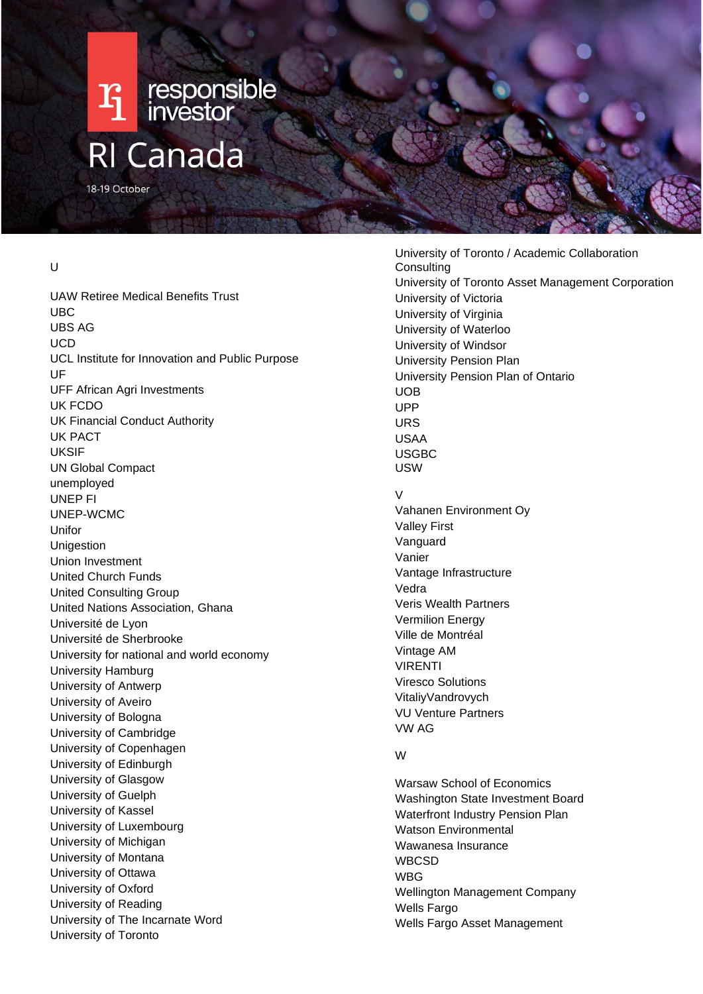

### $\overline{U}$

UAW Retiree Medical Benefits Trust UBC UBS AG UCD UCL Institute for Innovation and Public Purpose UF UFF African Agri Investments UK FCDO UK Financial Conduct Authority UK PACT UKSIF UN Global Compact unemployed UNEP FI UNEP-WCMC Unifor Unigestion Union Investment United Church Funds United Consulting Group United Nations Association, Ghana Université de Lyon Université de Sherbrooke University for national and world economy University Hamburg University of Antwerp University of Aveiro University of Bologna University of Cambridge University of Copenhagen University of Edinburgh University of Glasgow University of Guelph University of Kassel University of Luxembourg University of Michigan University of Montana University of Ottawa University of Oxford University of Reading University of The Incarnate Word University of Toronto

University of Toronto / Academic Collaboration **Consulting** University of Toronto Asset Management Corporation University of Victoria University of Virginia University of Waterloo University of Windsor University Pension Plan University Pension Plan of Ontario UOB UPP URS USAA USGBC USW  $\overline{V}$ Vahanen Environment Oy Valley First Vanguard Vanier Vantage Infrastructure Vedra Veris Wealth Partners Vermilion Energy Ville de Montréal Vintage AM VIRENTI Viresco Solutions VitaliyVandrovych VU Venture Partners VW AG W Warsaw School of Economics

Washington State Investment Board Waterfront Industry Pension Plan Watson Environmental Wawanesa Insurance WBCSD **WBG** Wellington Management Company Wells Fargo Wells Fargo Asset Management